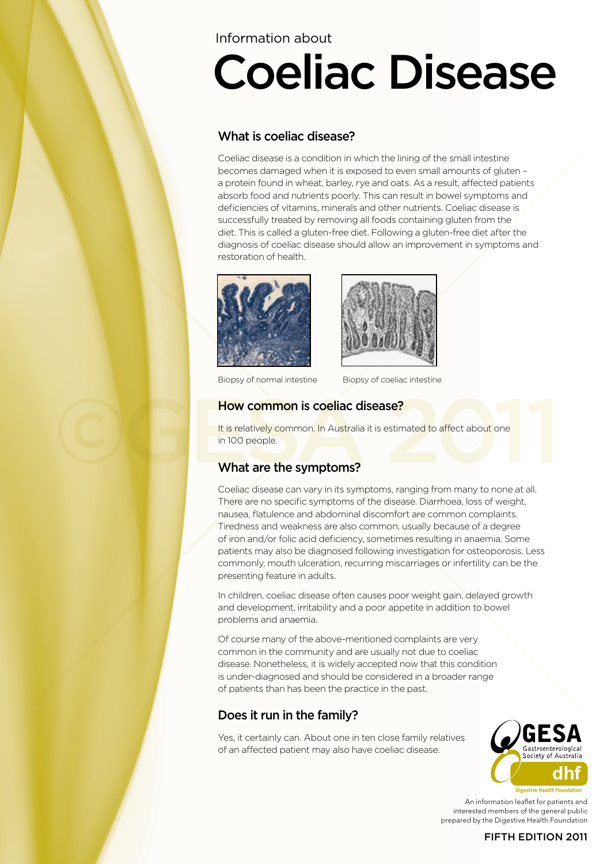## Information about

# Coeliac Disease

## What is coeliac disease?

Coeliac disease is a condition in which the lining of the small intestine becomes damaged when it is exposed to even small amounts of gluten – a protein found in wheat, barley, rye and oats. As a result, affected patients absorb food and nutrients poorly. This can result in bowel symptoms and deficiencies of vitamins, minerals and other nutrients. Coeliac disease is successfully treated by removing all foods containing gluten from the diet. This is called a gluten-free diet. Following a gluten-free diet after the diagnosis of coeliac disease should allow an improvement in symptoms and restoration of health.





Biopsy of normal intestine Biopsy of coeliac intestine

## How common is coeliac disease?

It is relatively common. In Australia it is estimated to affect about one in 100 people.

## What are the symptoms?

Coeliac disease can vary in its symptoms, ranging from many to none at all. There are no specific symptoms of the disease. Diarrhoea, loss of weight, nausea, flatulence and abdominal discomfort are common complaints. Tiredness and weakness are also common, usually because of a degree of iron and/or folic acid deficiency, sometimes resulting in anaemia. Some patients may also be diagnosed following investigation for osteoporosis. Less commonly, mouth ulceration, recurring miscarriages or infertility can be the presenting feature in adults.

In children, coeliac disease often causes poor weight gain, delayed growth and development, irritability and a poor appetite in addition to bowel problems and anaemia.

Of course many of the above-mentioned complaints are very common in the community and are usually not due to coeliac disease. Nonetheless, it is widely accepted now that this condition is under-diagnosed and should be considered in a broader range of patients than has been the practice in the past.

# Does it run in the family?

Yes, it certainly can. About one in ten close family relatives of an affected patient may also have coeliac disease.



An information leaflet for patients and interested members of the general public prepared by the Digestive Health Foundation

## FIFTH EDITION 2011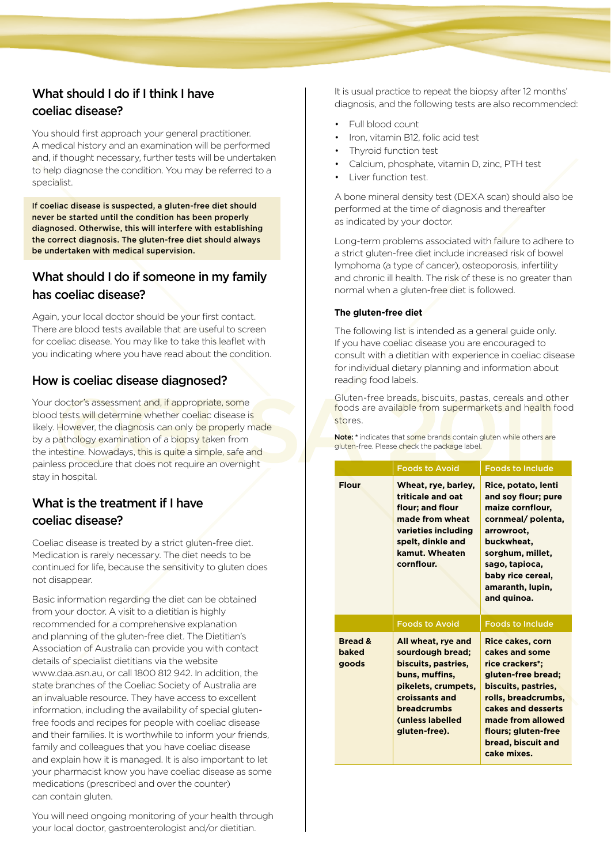# What should I do if I think I have coeliac disease?

You should first approach your general practitioner. A medical history and an examination will be performed and, if thought necessary, further tests will be undertaken to help diagnose the condition. You may be referred to a specialist.

If coeliac disease is suspected, a gluten-free diet should never be started until the condition has been properly diagnosed. Otherwise, this will interfere with establishing the correct diagnosis. The gluten-free diet should always be undertaken with medical supervision.

# What should I do if someone in my family has coeliac disease?

Again, your local doctor should be your first contact. There are blood tests available that are useful to screen for coeliac disease. You may like to take this leaflet with you indicating where you have read about the condition.

## How is coeliac disease diagnosed?

Your doctor's assessment and, if appropriate, some blood tests will determine whether coeliac disease is likely. However, the diagnosis can only be properly made by a pathology examination of a biopsy taken from the intestine. Nowadays, this is quite a simple, safe and painless procedure that does not require an overnight stay in hospital.

# What is the treatment if I have coeliac disease?

Coeliac disease is treated by a strict gluten-free diet. Medication is rarely necessary. The diet needs to be continued for life, because the sensitivity to gluten does not disappear.

Basic information regarding the diet can be obtained from your doctor. A visit to a dietitian is highly recommended for a comprehensive explanation and planning of the gluten-free diet. The Dietitian's Association of Australia can provide you with contact details of specialist dietitians via the website www.daa.asn.au, or call 1800 812 942. In addition, the state branches of the Coeliac Society of Australia are an invaluable resource. They have access to excellent information, including the availability of special glutenfree foods and recipes for people with coeliac disease and their families. It is worthwhile to inform your friends, family and colleagues that you have coeliac disease and explain how it is managed. It is also important to let your pharmacist know you have coeliac disease as some medications (prescribed and over the counter) can contain gluten.

You will need ongoing monitoring of your health through your local doctor, gastroenterologist and/or dietitian.

It is usual practice to repeat the biopsy after 12 months' diagnosis, and the following tests are also recommended:

- Full blood count
- Iron, vitamin B12, folic acid test
- Thyroid function test
- Calcium, phosphate, vitamin D, zinc, PTH test
- • Liver function test.

A bone mineral density test (DEXA scan) should also be performed at the time of diagnosis and thereafter as indicated by your doctor.

Long-term problems associated with failure to adhere to a strict gluten-free diet include increased risk of bowel lymphoma (a type of cancer), osteoporosis, infertility and chronic ill health. The risk of these is no greater than normal when a gluten-free diet is followed.

## **The gluten-free diet**

The following list is intended as a general guide only. If you have coeliac disease you are encouraged to consult with a dietitian with experience in coeliac disease for individual dietary planning and information about reading food labels.

Gluten-free breads, biscuits, pastas, cereals and other foods are available from supermarkets and health food stores.

Note: \* indicates that some brands contain gluten while others are gluten-free. Please check the package label.

|              | <b>Foods to Avoid</b>                                                                                                                                       | <b>Foods to Include</b>                                                                                                                                                                                       |
|--------------|-------------------------------------------------------------------------------------------------------------------------------------------------------------|---------------------------------------------------------------------------------------------------------------------------------------------------------------------------------------------------------------|
| <b>Flour</b> | Wheat, rye, barley,<br>triticale and oat<br>flour; and flour<br>made from wheat<br>varieties including<br>spelt, dinkle and<br>kamut. Wheaten<br>cornflour. | Rice, potato, lenti<br>and soy flour; pure<br>maize cornflour,<br>cornmeal/polenta,<br>arrowroot,<br>buckwheat,<br>sorghum, millet,<br>sago, tapioca,<br>baby rice cereal,<br>amaranth, lupin,<br>and quinoa. |
|              | <b>Foods to Avoid</b>                                                                                                                                       | <b>Foods to Include</b>                                                                                                                                                                                       |
|              |                                                                                                                                                             |                                                                                                                                                                                                               |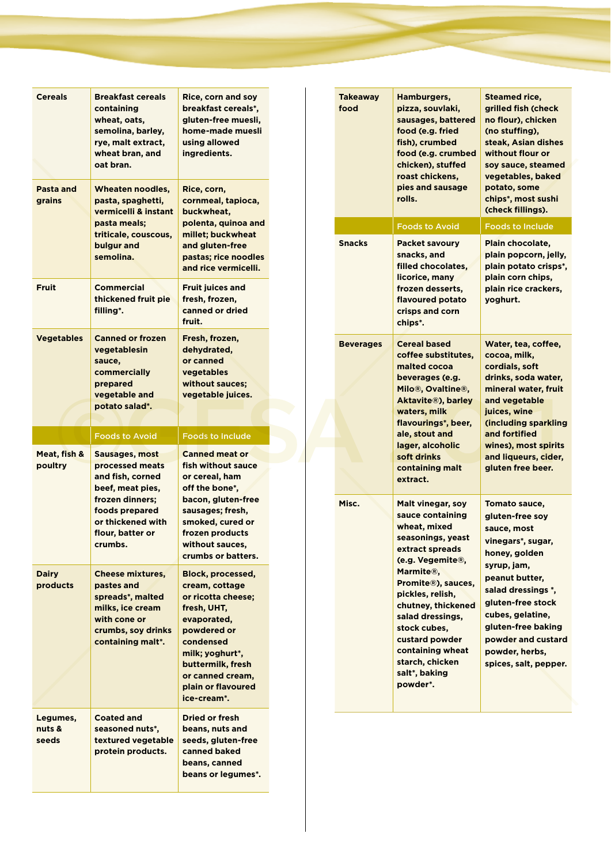| <b>Cereals</b>           | <b>Breakfast cereals</b><br>containing<br>wheat, oats,<br>semolina, barley,<br>rye, malt extract,<br>wheat bran, and<br>oat bran.        | Rice, corn and soy<br>breakfast cereals*.<br>gluten-free muesli,<br>home-made muesli<br>using allowed<br>ingredients.                                                                                                       |
|--------------------------|------------------------------------------------------------------------------------------------------------------------------------------|-----------------------------------------------------------------------------------------------------------------------------------------------------------------------------------------------------------------------------|
| Pasta and<br>grains      | <b>Wheaten noodles,</b><br>pasta, spaghetti,<br>vermicelli & instant<br>pasta meals;<br>triticale, couscous,<br>bulgur and<br>semolina.  | Rice, corn,<br>cornmeal, tapioca,<br>buckwheat,<br>polenta, quinoa and<br>millet; buckwheat<br>and gluten-free<br>pastas; rice noodles<br>and rice vermicelli.                                                              |
| <b>Fruit</b>             | <b>Commercial</b><br>thickened fruit pie<br>filling*.                                                                                    | <b>Fruit juices and</b><br>fresh, frozen,<br>canned or dried<br>fruit.                                                                                                                                                      |
| <b>Vegetables</b>        | <b>Canned or frozen</b><br>vegetablesin<br>sauce,<br>commercially<br>prepared<br>vegetable and                                           | Fresh, frozen,<br>dehydrated,<br>or canned<br>vegetables<br>without sauces;<br>vegetable juices.                                                                                                                            |
|                          | potato salad*.                                                                                                                           |                                                                                                                                                                                                                             |
|                          |                                                                                                                                          | <b>Foods to Include</b>                                                                                                                                                                                                     |
|                          | <b>Foods to Avoid</b>                                                                                                                    |                                                                                                                                                                                                                             |
| Meat, fish &<br>poultry  | Sausages, most<br>processed meats<br>and fish, corned<br>beef, meat pies,<br>frozen dinners;<br>foods prepared<br>or thickened with      | <b>Canned meat or</b><br>fish without sauce<br>or cereal, ham<br>off the bone*,<br>bacon, gluten-free<br>sausages; fresh,<br>smoked, cured or                                                                               |
|                          | flour, batter or<br>crumps.                                                                                                              | frozen products<br>without sauces,<br>crumbs or batters.                                                                                                                                                                    |
| <b>Dairy</b><br>products | <b>Cheese mixtures,</b><br>pastes and<br>spreads*, malted<br>milks, ice cream<br>with cone or<br>crumbs, soy drinks<br>containing malt*. | <b>Block, processed,</b><br>cream, cottage<br>or ricotta cheese;<br>fresh, UHT,<br>evaporated,<br>powdered or<br>condensed<br>milk; yoghurt*,<br>buttermilk, fresh<br>or canned cream,<br>plain or flavoured<br>ice-cream*. |

|  | <b>Takeaway</b><br>food | Hamburgers,<br>pizza, souvlaki,<br>sausages, battered<br>food (e.g. fried<br>fish), crumbed<br>food (e.g. crumbed<br>chicken), stuffed<br>roast chickens,<br>pies and sausage<br>rolls.                                                                                                                                               | Steamed rice,<br>grilled fish (check<br>no flour), chicken<br>(no stuffing),<br>steak, Asian dishes<br>without flour or<br>soy sauce, steamed<br>vegetables, baked<br>potato, some<br>chips*, most sushi<br>(check fillings).                                                |
|--|-------------------------|---------------------------------------------------------------------------------------------------------------------------------------------------------------------------------------------------------------------------------------------------------------------------------------------------------------------------------------|------------------------------------------------------------------------------------------------------------------------------------------------------------------------------------------------------------------------------------------------------------------------------|
|  |                         | <b>Foods to Avoid</b>                                                                                                                                                                                                                                                                                                                 | <b>Foods to Include</b>                                                                                                                                                                                                                                                      |
|  | <b>Snacks</b>           | <b>Packet savoury</b><br>snacks, and<br>filled chocolates,<br>licorice, many<br>frozen desserts,<br>flavoured potato<br>crisps and corn<br>chips <sup>*</sup> .                                                                                                                                                                       | Plain chocolate,<br>plain popcorn, jelly,<br>plain potato crisps*,<br>plain corn chips,<br>plain rice crackers,<br>yoghurt.                                                                                                                                                  |
|  | <b>Beverages</b>        | <b>Cereal based</b><br>coffee substitutes,<br>malted cocoa<br>beverages (e.g.<br><b>Milo®, Ovaltine®,</b><br><b>Aktavite®), barley</b><br>waters, milk<br>flavourings <sup>*</sup> , beer,<br>ale, stout and<br>lager, alcoholic<br>soft drinks<br>containing malt<br>extract.                                                        | Water, tea, coffee,<br>cocoa, milk,<br>cordials, soft<br>drinks, soda water,<br>mineral water, fruit<br>and vegetable<br>juices, wine<br>(including sparkling<br>and fortified<br>wines), most spirits<br>and liqueurs, cider,<br>gluten free beer.                          |
|  | Misc.                   | Malt vinegar, soy<br>sauce containing<br>wheat, mixed<br>seasonings, yeast<br>extract spreads<br>(e.g. Vegemite®,<br>Marmite®,<br>Promite <sup>®</sup> ), sauces,<br>pickles, relish,<br>chutney, thickened<br>salad dressings,<br>stock cubes,<br>custard powder<br>containing wheat<br>starch, chicken<br>salt*, baking<br>powder*. | Tomato sauce,<br>gluten-free soy<br>sauce, most<br>vinegars*, sugar,<br>honey, golden<br>syrup, jam,<br>peanut butter,<br>salad dressings *,<br>gluten-free stock<br>cubes, gelatine,<br>gluten-free baking<br>powder and custard<br>powder, herbs,<br>spices, salt, pepper. |